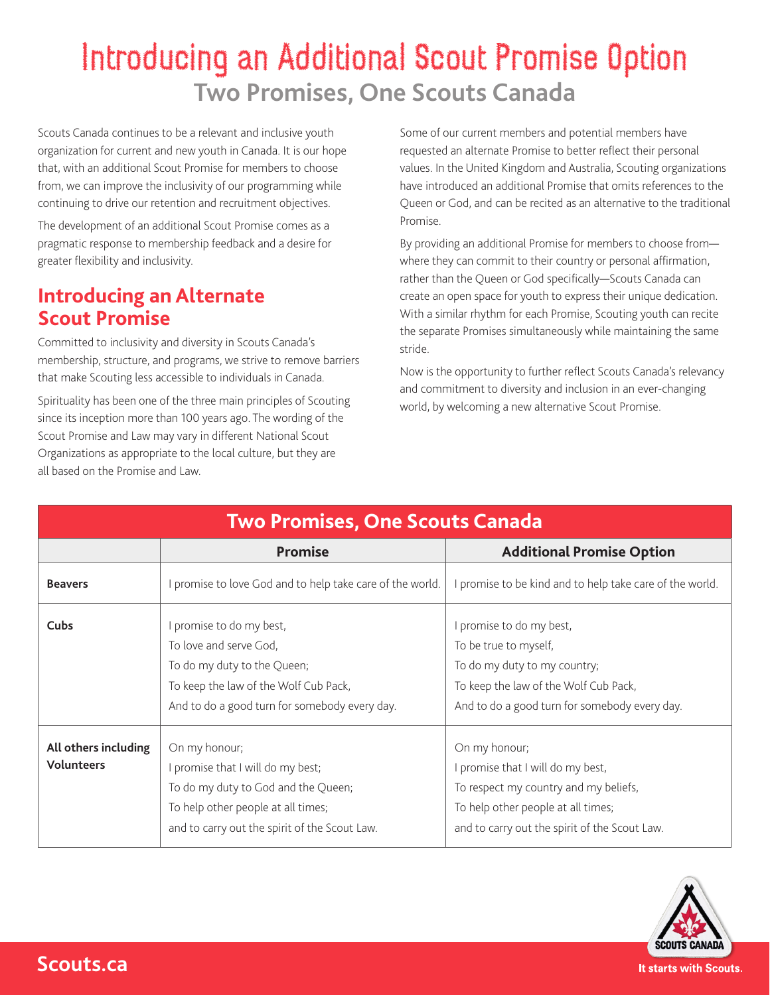# Introducing an Additional Scout Promise Option **Two Promises, One Scouts Canada**

Scouts Canada continues to be a relevant and inclusive youth organization for current and new youth in Canada. It is our hope that, with an additional Scout Promise for members to choose from, we can improve the inclusivity of our programming while continuing to drive our retention and recruitment objectives.

The development of an additional Scout Promise comes as a pragmatic response to membership feedback and a desire for greater flexibility and inclusivity.

### **Introducing an Alternate Scout Promise**

Committed to inclusivity and diversity in Scouts Canada's membership, structure, and programs, we strive to remove barriers that make Scouting less accessible to individuals in Canada.

Spirituality has been one of the three main principles of Scouting since its inception more than 100 years ago. The wording of the Scout Promise and Law may vary in different National Scout Organizations as appropriate to the local culture, but they are all based on the Promise and Law.

Some of our current members and potential members have requested an alternate Promise to better reflect their personal values. In the United Kingdom and Australia, Scouting organizations have introduced an additional Promise that omits references to the Queen or God, and can be recited as an alternative to the traditional Promise.

By providing an additional Promise for members to choose from where they can commit to their country or personal affirmation, rather than the Queen or God specifically—Scouts Canada can create an open space for youth to express their unique dedication. With a similar rhythm for each Promise, Scouting youth can recite the separate Promises simultaneously while maintaining the same stride.

Now is the opportunity to further reflect Scouts Canada's relevancy and commitment to diversity and inclusion in an ever-changing world, by welcoming a new alternative Scout Promise.

| <b>Two Promises, One Scouts Canada</b> |                                                         |                                                        |
|----------------------------------------|---------------------------------------------------------|--------------------------------------------------------|
|                                        | <b>Promise</b>                                          | <b>Additional Promise Option</b>                       |
| <b>Beavers</b>                         | promise to love God and to help take care of the world. | promise to be kind and to help take care of the world. |
| <b>Cubs</b>                            | promise to do my best,                                  | promise to do my best,                                 |
|                                        | To love and serve God,                                  | To be true to myself,                                  |
|                                        | To do my duty to the Queen;                             | To do my duty to my country;                           |
|                                        | To keep the law of the Wolf Cub Pack,                   | To keep the law of the Wolf Cub Pack,                  |
|                                        | And to do a good turn for somebody every day.           | And to do a good turn for somebody every day.          |
| All others including                   | On my honour;                                           | On my honour;                                          |
| <b>Volunteers</b>                      | promise that I will do my best;                         | promise that I will do my best,                        |
|                                        | To do my duty to God and the Queen;                     | To respect my country and my beliefs,                  |
|                                        | To help other people at all times;                      | To help other people at all times;                     |
|                                        | and to carry out the spirit of the Scout Law.           | and to carry out the spirit of the Scout Law.          |

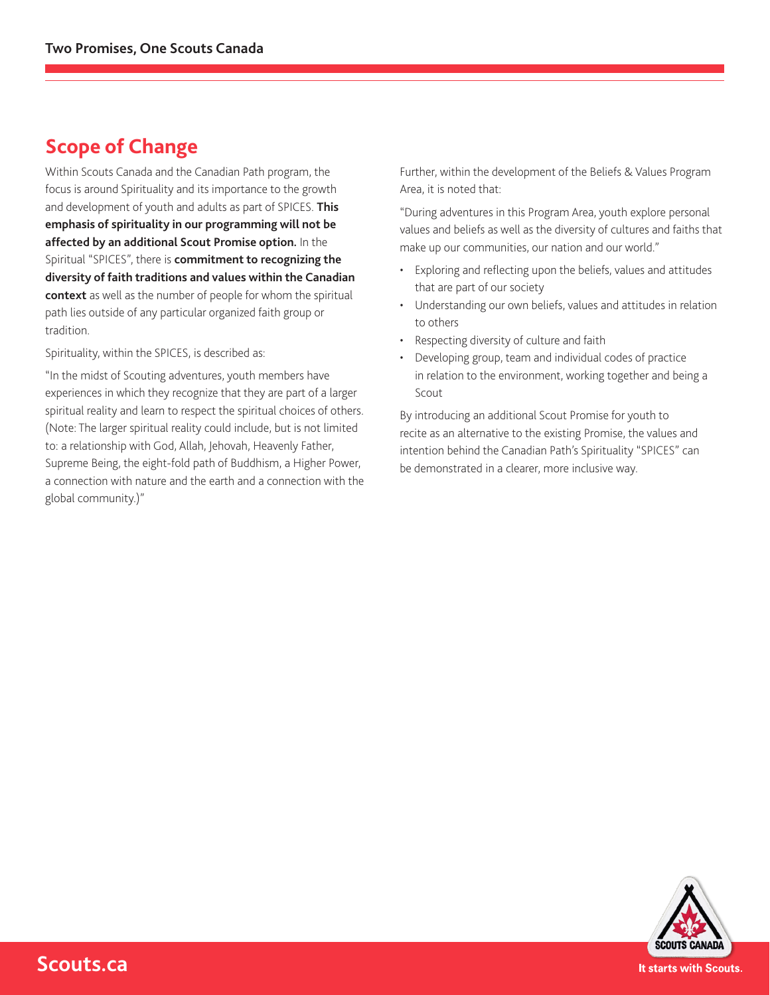### **Scope of Change**

Within Scouts Canada and the Canadian Path program, the focus is around Spirituality and its importance to the growth and development of youth and adults as part of SPICES. **This emphasis of spirituality in our programming will not be affected by an additional Scout Promise option.** In the Spiritual "SPICES", there is **commitment to recognizing the diversity of faith traditions and values within the Canadian context** as well as the number of people for whom the spiritual path lies outside of any particular organized faith group or tradition.

Spirituality, within the SPICES, is described as:

"In the midst of Scouting adventures, youth members have experiences in which they recognize that they are part of a larger spiritual reality and learn to respect the spiritual choices of others. (Note: The larger spiritual reality could include, but is not limited to: a relationship with God, Allah, Jehovah, Heavenly Father, Supreme Being, the eight-fold path of Buddhism, a Higher Power, a connection with nature and the earth and a connection with the global community.)"

Further, within the development of the Beliefs & Values Program Area, it is noted that:

"During adventures in this Program Area, youth explore personal values and beliefs as well as the diversity of cultures and faiths that make up our communities, our nation and our world."

- Exploring and reflecting upon the beliefs, values and attitudes that are part of our society
- Understanding our own beliefs, values and attitudes in relation to others
- Respecting diversity of culture and faith
- Developing group, team and individual codes of practice in relation to the environment, working together and being a Scout

By introducing an additional Scout Promise for youth to recite as an alternative to the existing Promise, the values and intention behind the Canadian Path's Spirituality "SPICES" can be demonstrated in a clearer, more inclusive way.



**Scouts.ca**